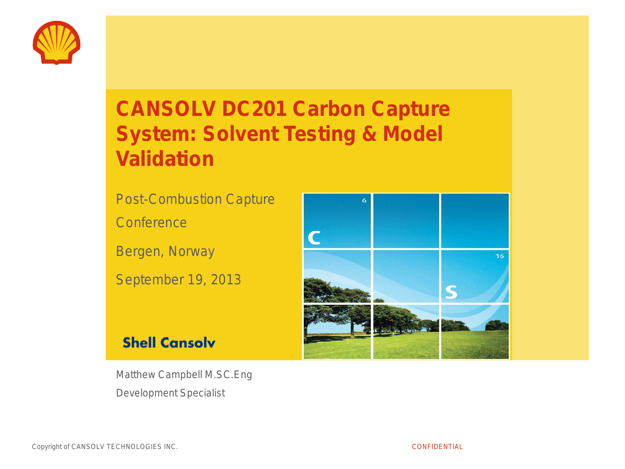

### **CANSOLV DC201 Carbon Capture System: Solvent Testing & Model Validation**

Post-Combustion Capture

**Conference** 

Bergen, Norway

September 19, 2013



#### **Shell Cansolv**

Matthew Campbell M.SC.Eng Development Specialist

Copyright of CANSOLV TECHNOLOGIES INC. The contract of CONFIDENTIAL CONFIDENTIAL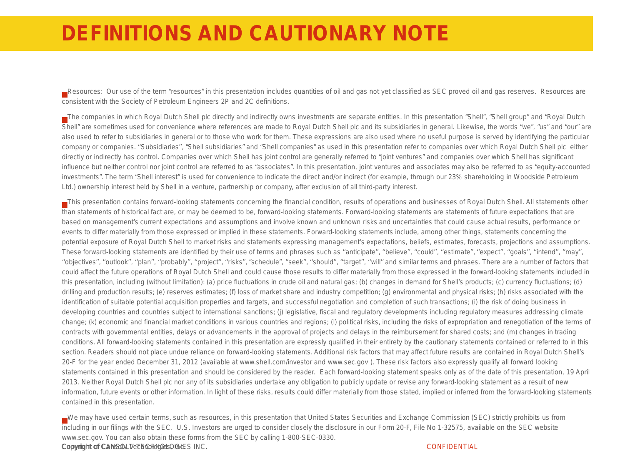### **DEFINITIONS AND CAUTIONARY NOTE**

Resources: Our use of the term "resources" in this presentation includes quantities of oil and gas not yet classified as SEC proved oil and gas reserves. Resources are consistent with the Society of Petroleum Engineers 2P and 2C definitions.

The companies in which Royal Dutch Shell plc directly and indirectly owns investments are separate entities. In this presentation "Shell", "Shell group" and "Royal Dutch Shell" are sometimes used for convenience where references are made to Royal Dutch Shell plc and its subsidiaries in general. Likewise, the words "we", "us" and "our" are also used to refer to subsidiaries in general or to those who work for them. These expressions are also used where no useful purpose is served by identifying the particular company or companies. "Subsidiaries", "Shell subsidiaries" and "Shell companies" as used in this presentation refer to companies over which Royal Dutch Shell plc either directly or indirectly has control. Companies over which Shell has joint control are generally referred to "joint ventures" and companies over which Shell has significant influence but neither control nor joint control are referred to as "associates". In this presentation, joint ventures and associates may also be referred to as "equity-accounted investments". The term "Shell interest" is used for convenience to indicate the direct and/or indirect (for example, through our 23% shareholding in Woodside Petroleum Ltd.) ownership interest held by Shell in a venture, partnership or company, after exclusion of all third-party interest.

This presentation contains forward-looking statements concerning the financial condition, results of operations and businesses of Royal Dutch Shell. All statements other than statements of historical fact are, or may be deemed to be, forward-looking statements. Forward-looking statements are statements of future expectations that are based on management's current expectations and assumptions and involve known and unknown risks and uncertainties that could cause actual results, performance or events to differ materially from those expressed or implied in these statements. Forward-looking statements include, among other things, statements concerning the potential exposure of Royal Dutch Shell to market risks and statements expressing management's expectations, beliefs, estimates, forecasts, projections and assumptions. These forward-looking statements are identified by their use of terms and phrases such as "anticipate", "believe", "could", "estimate", "expect", "goals", "intend", "may", ''objectives'', ''outlook'', ''plan'', ''probably'', ''project'', ''risks'', "schedule", ''seek'', ''should'', ''target'', ''will'' and similar terms and phrases. There are a number of factors that could affect the future operations of Royal Dutch Shell and could cause those results to differ materially from those expressed in the forward-looking statements included in this presentation, including (without limitation): (a) price fluctuations in crude oil and natural gas; (b) changes in demand for Shell's products; (c) currency fluctuations; (d) drilling and production results; (e) reserves estimates; (f) loss of market share and industry competition; (g) environmental and physical risks; (h) risks associated with the identification of suitable potential acquisition properties and targets, and successful negotiation and completion of such transactions; (i) the risk of doing business in developing countries and countries subject to international sanctions; (i) legislative, fiscal and regulatory developments including regulatory measures addressing climate change; (k) economic and financial market conditions in various countries and regions; (l) political risks, including the risks of expropriation and renegotiation of the terms of contracts with governmental entities, delays or advancements in the approval of projects and delays in the reimbursement for shared costs; and (m) changes in trading conditions. All forward-looking statements contained in this presentation are expressly qualified in their entirety by the cautionary statements contained or referred to in this section. Readers should not place undue reliance on forward-looking statements. Additional risk factors that may affect future results are contained in Royal Dutch Shell's 20-F for the year ended December 31, 2012 (available at www.shell.com/investor and www.sec.gov ). These risk factors also expressly qualify all forward looking statements contained in this presentation and should be considered by the reader. Each forward-looking statement speaks only as of the date of this presentation, 19 April 2013. Neither Royal Dutch Shell plc nor any of its subsidiaries undertake any obligation to publicly update or revise any forward-looking statement as a result of new information, future events or other information. In light of these risks, results could differ materially from those stated, implied or inferred from the forward-looking statements contained in this presentation.

We may have used certain terms, such as resources, in this presentation that United States Securities and Exchange Commission (SEC) strictly prohibits us from including in our filings with the SEC. U.S. Investors are urged to consider closely the disclosure in our Form 20-F, File No 1-32575, available on the SEC website www.sec.gov. You can also obtain these forms from the SEC by calling 1-800-SEC-0330.

Copyright of CANSOLVeTEnGHOGIES INC. CONFIDENTIAL CONFIDENTIAL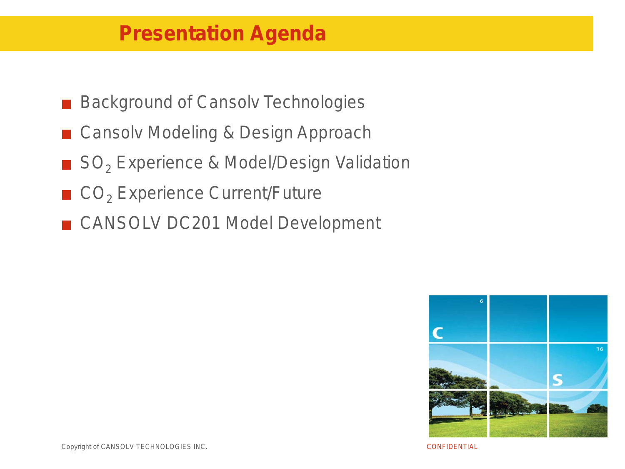### **Presentation Agenda**

- Background of Cansolv Technologies
- Cansolv Modeling & Design Approach
- $\blacksquare$  SO<sub>2</sub> Experience & Model/Design Validation
- CO<sub>2</sub> Experience Current/Future
- CANSOLV DC201 Model Development

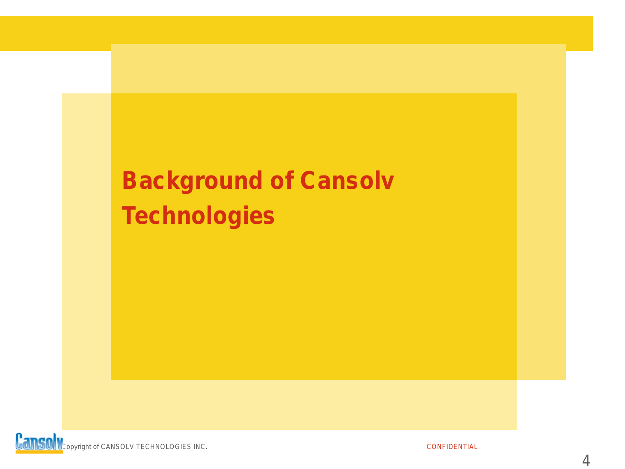## **Background of Cansolv Technologies**

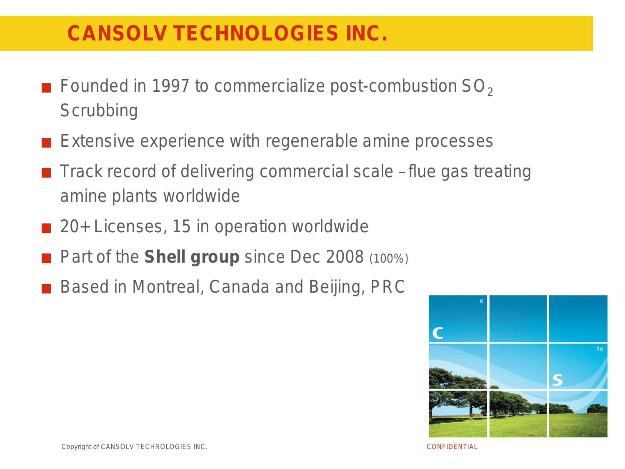### **CANSOLV TECHNOLOGIES INC.**

- Founded in 1997 to commercialize post-combustion  $SO<sub>2</sub>$ **Scrubbing**
- Extensive experience with regenerable amine processes
- Track record of delivering commercial scale –flue gas treating amine plants worldwide
- 20+ Licenses, 15 in operation worldwide
- Part of the **Shell group** since Dec 2008 (100%)
- Based in Montreal, Canada and Beijing, PRC

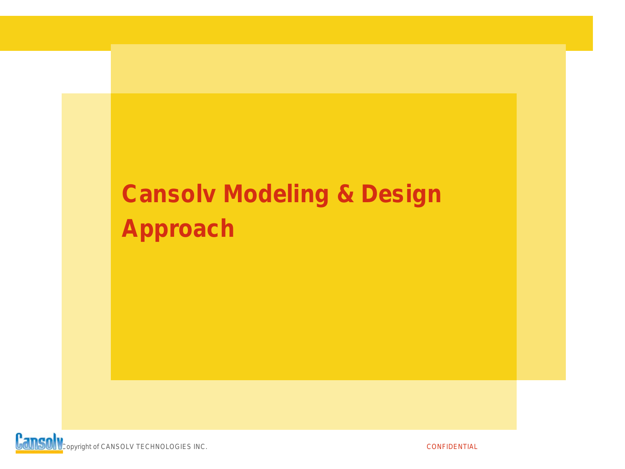## **Cansolv Modeling & Design Approach**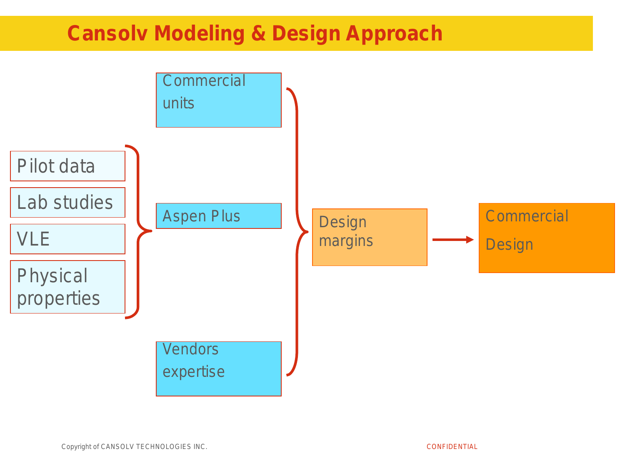### **Cansolv Modeling & Design Approach**

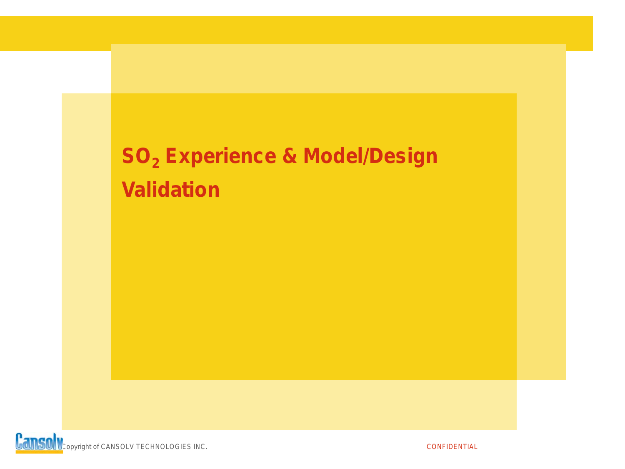## **SO2 Experience & Model/Design Validation**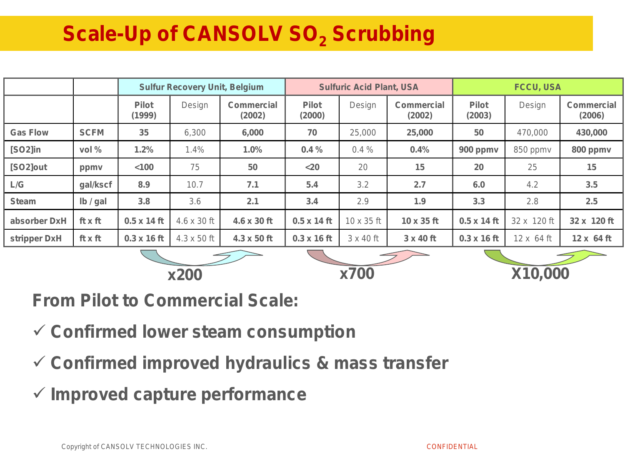### **Scale-Up of CANSOLV SO<sub>2</sub> Scrubbing**

|                 |             | <b>Sulfur Recovery Unit, Belgium</b> |                    |                             | <b>Sulfuric Acid Plant, USA</b> |                   |                             | <b>FCCU, USA</b>       |                   |                             |
|-----------------|-------------|--------------------------------------|--------------------|-----------------------------|---------------------------------|-------------------|-----------------------------|------------------------|-------------------|-----------------------------|
|                 |             | <b>Pilot</b><br>(1999)               | Design             | <b>Commercial</b><br>(2002) | <b>Pilot</b><br>(2000)          | Design            | <b>Commercial</b><br>(2002) | <b>Pilot</b><br>(2003) | Design            | <b>Commercial</b><br>(2006) |
| <b>Gas Flow</b> | <b>SCFM</b> | 35                                   | 6,300              | 6,000                       | 70                              | 25,000            | 25,000                      | 50                     | 470,000           | 430,000                     |
| [SO2]in         | vol $%$     | 1.2%                                 | 1.4%               | 1.0%                        | 0.4%                            | 0.4%              | 0.4%                        | 900 ppmv               | 850 ppmv          | 800 ppmv                    |
| [SO2]out        | ppmy        | < 100                                | 75                 | 50                          | $20$                            | 20                | 15                          | 20                     | 25                | 15                          |
| L/G             | gal/kscf    | 8.9                                  | 10.7               | 7.1                         | 5.4                             | 3.2               | 2.7                         | 6.0                    | 4.2               | 3.5                         |
| <b>Steam</b>    | lb / gal    | 3.8                                  | 3.6                | 2.1                         | 3.4                             | 2.9               | 1.9                         | 3.3                    | 2.8               | 2.5                         |
| absorber DxH    | ft x ft     | $0.5 \times 14$ ft                   | $4.6 \times 30$ ft | $4.6 \times 30$ ft          | $0.5 \times 14$ ft              | $10 \times 35$ ft | 10 x 35 ft                  | $0.5 \times 14$ ft     | 32 x 120 ft       | 32 x 120 ft                 |
| stripper DxH    | ft x ft     | $0.3 \times 16$ ft                   | $4.3 \times 50$ ft | $4.3 \times 50$ ft          | $0.3 \times 16$ ft              | $3 \times 40$ ft  | $3 \times 40$ ft            | $0.3 \times 16$ ft     | $12 \times 64$ ft | 12 x 64 ft                  |
|                 |             |                                      |                    |                             |                                 |                   |                             |                        |                   |                             |





- **From Pilot to Commercial Scale:**
- **Confirmed lower steam consumption**
- **Confirmed improved hydraulics & mass transfer**
- **Improved capture performance**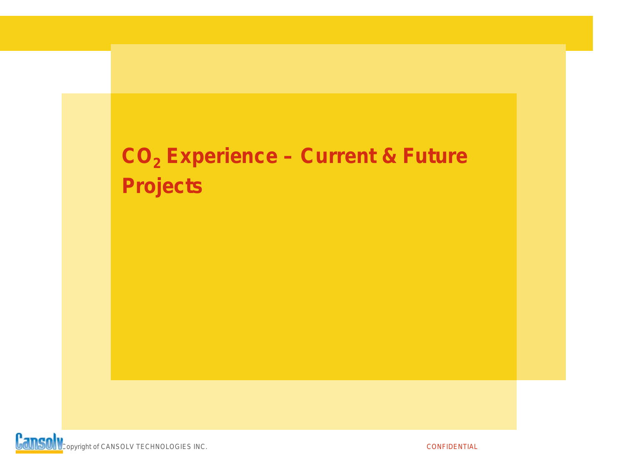### **CO2 Experience – Current & Future Projects**

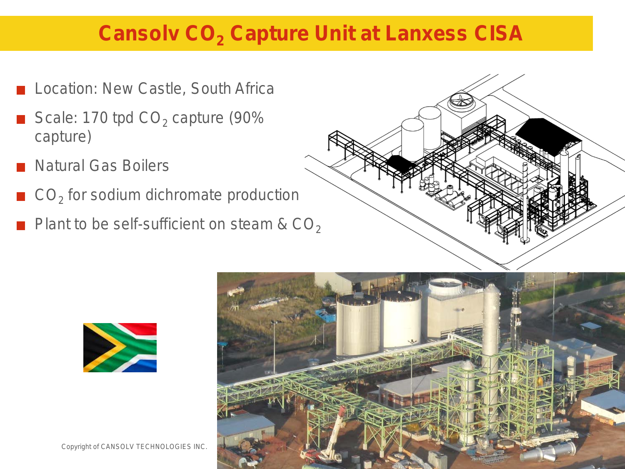### **Cansolv CO<sub>2</sub> Capture Unit at Lanxess CISA**

- Location: New Castle, South Africa
- Scale: 170 tpd  $CO<sub>2</sub>$  capture (90%) capture)
- Natural Gas Boilers
- $CO<sub>2</sub>$  for sodium dichromate production
- Plant to be self-sufficient on steam  $\&$  CO<sub>2</sub>







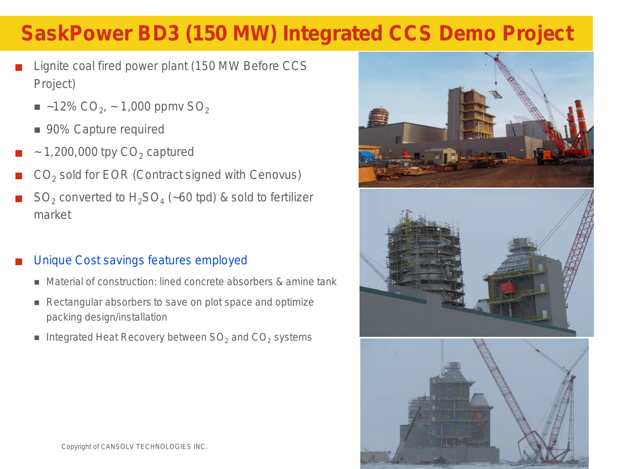### **SaskPower BD3 (150 MW) Integrated CCS Demo Project**

- Lignite coal fired power plant (150 MW Before CCS Project)
	- $\blacksquare$  ~12% CO<sub>2</sub>, ~ 1,000 ppmv SO<sub>2</sub>
	- 90% Capture required
- $\sim$  1,200,000 tpy CO<sub>2</sub> captured
- $CO<sub>2</sub>$  sold for EOR (Contract signed with Cenovus)
- $SO_2$  converted to  $H_2SO_4$  (~60 tpd) & sold to fertilizer market

#### Unique Cost savings features employed

- **Material of construction: lined concrete absorbers & amine tank**
- Rectangular absorbers to save on plot space and optimize packing design/installation
- Integrated Heat Recovery between  $SO<sub>2</sub>$  and  $CO<sub>2</sub>$  systems





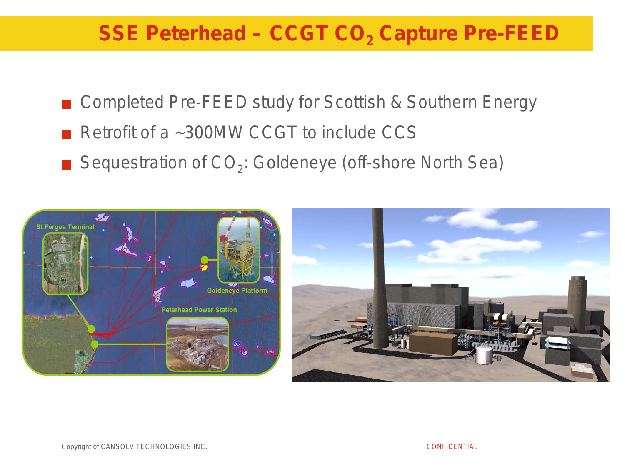### **SSE Peterhead – CCGT CO<sub>2</sub> Capture Pre-FEED**

- Completed Pre-FEED study for Scottish & Southern Energy
- Retrofit of a ~300MW CCGT to include CCS
- Sequestration of  $CO<sub>2</sub>$ : Goldeneye (off-shore North Sea)

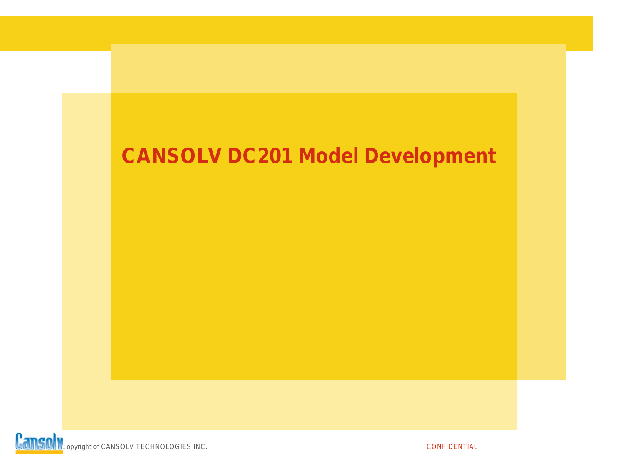### **CANSOLV DC201 Model Development**

Ca \_<br>Copyright of CANSOLV TECHNOLOGIES INC. And the contract of the contract of the contract of contract of the con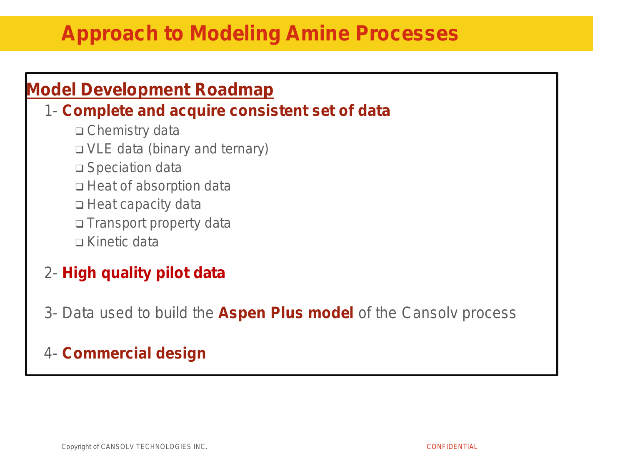### **Approach to Modeling Amine Processes**

### **Model Development Roadmap**

#### 1- **Complete and acquire consistent set of data**

□ Chemistry data VLE data (binary and ternary) □ Speciation data □ Heat of absorption data □ Heat capacity data □ Transport property data □ Kinetic data

#### 2- **High quality pilot data**

3- Data used to build the **Aspen Plus model** of the Cansolv process

#### 4- **Commercial design**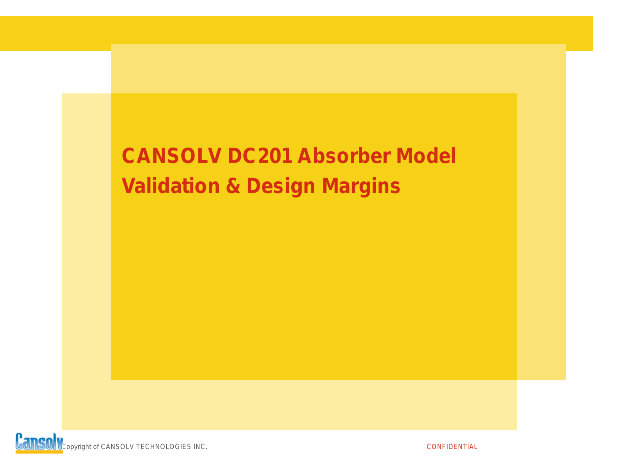### **CANSOLV DC201 Absorber Model Validation & Design Margins**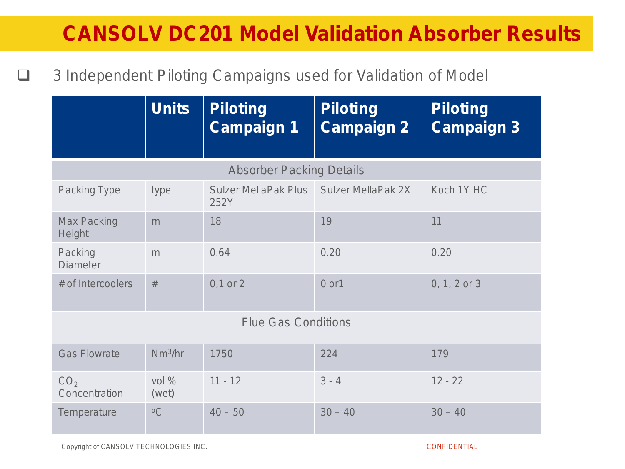### **CANSOLV DC201 Model Validation Absorber Results**

#### 3 Independent Piloting Campaigns used for Validation of Model

|                                  | <b>Units</b>        | <b>Piloting</b><br><b>Campaign 1</b> | <b>Piloting</b><br><b>Campaign 2</b> | <b>Piloting</b><br><b>Campaign 3</b> |  |  |  |  |
|----------------------------------|---------------------|--------------------------------------|--------------------------------------|--------------------------------------|--|--|--|--|
| <b>Absorber Packing Details</b>  |                     |                                      |                                      |                                      |  |  |  |  |
| Packing Type                     | type                | <b>Sulzer MellaPak Plus</b><br>252Y  | <b>Sulzer MellaPak 2X</b>            | Koch 1Y HC                           |  |  |  |  |
| Max Packing<br><b>Height</b>     | m                   | 18                                   | 19                                   | 11                                   |  |  |  |  |
| Packing<br><b>Diameter</b>       | m                   | 0.64                                 | 0.20                                 | 0.20                                 |  |  |  |  |
| # of Intercoolers                | #                   | $0,1$ or $2$                         | $0$ or $1$                           | 0, 1, 2 or 3                         |  |  |  |  |
|                                  |                     | <b>Flue Gas Conditions</b>           |                                      |                                      |  |  |  |  |
| <b>Gas Flowrate</b>              | Nm <sup>3</sup> /hr | 1750                                 | 224                                  | 179                                  |  |  |  |  |
| CO <sub>2</sub><br>Concentration | $vol\%$<br>(wet)    | $11 - 12$                            | $3 - 4$                              | $12 - 22$                            |  |  |  |  |
| Temperature                      | $\circ$ C           | $40 - 50$                            | $30 - 40$                            | $30 - 40$                            |  |  |  |  |

Copyright of CANSOLV TECHNOLOGIES INC. **CONFIDENTIAL** CONFIDENTIAL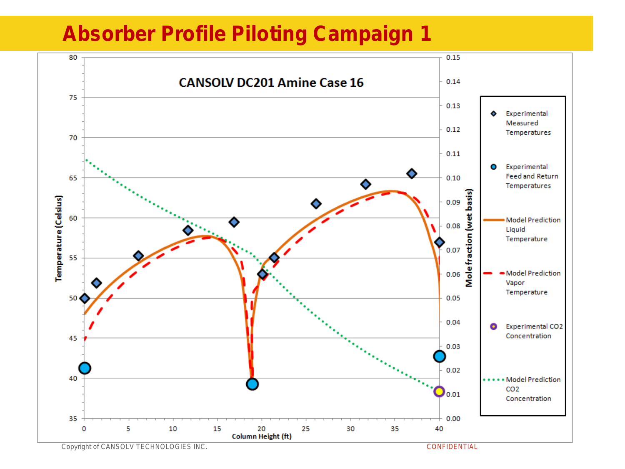### **Absorber Profile Piloting Campaign 1**

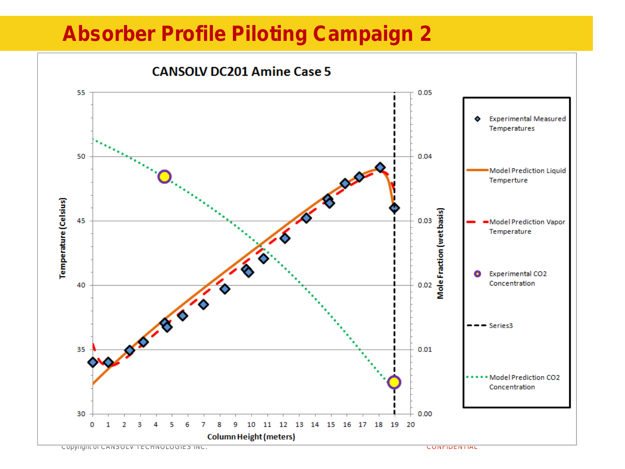### **Absorber Profile Piloting Campaign 2**

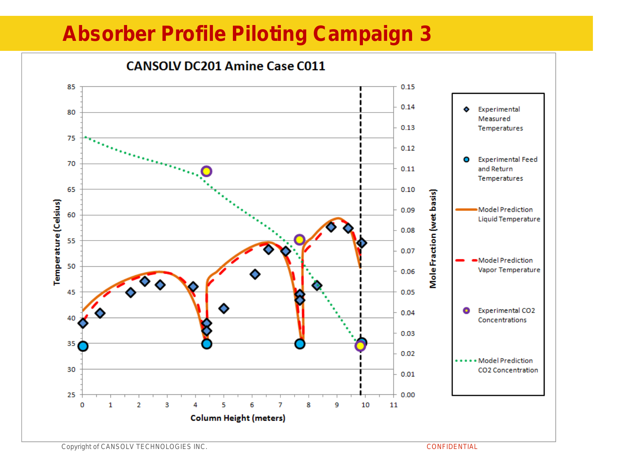### **Absorber Profile Piloting Campaign 3**

**CANSOLV DC201 Amine Case C011** 85  $0.15$  $0.14$ Experimental 80 Measured  $0.13$ Temperatures 75 ing personal personal personal personal personal personal personal personal personal personal personal personal<br>Personal personal personal personal personal personal personal personal personal personal personal personal pe  $0.12$ **Experimental Feed** 70  $0.11$ and Return Temperatures 65  $0.10$ Mole Fraction (wet basis) Temperature (Celsius) Model Prediction 0.09 60 **Liquid Temperature** 0.08 55 0.07 Model Prediction 50 Vapor Temperature 0.06 45 0.05 О **Experimental CO2**  $\bullet$ 0.04 40 Concentrations 0.03  $35<sub>1</sub>$ 0.02 Model Prediction 30 CO2 Concentration  $0.01$ 25 0.00  $\mathbf 0$  $\overline{2}$ 3 5 6  $\overline{7}$ 8 9 10 11 1 4 **Column Height (meters)**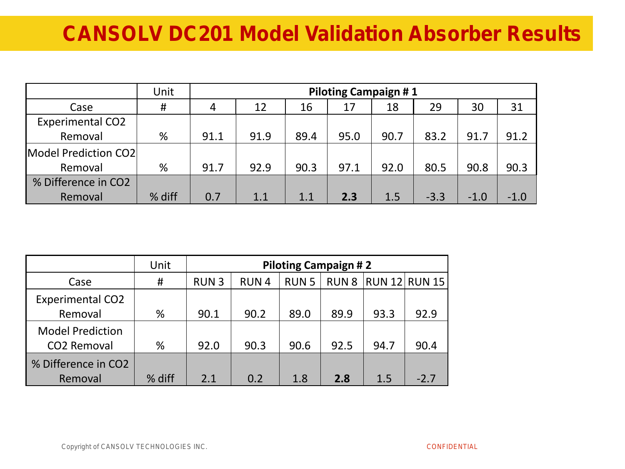### **CANSOLV DC201 Model Validation Absorber Results**

|                         | Unit   |      | <b>Piloting Campaign #1</b> |      |      |      |        |        |        |
|-------------------------|--------|------|-----------------------------|------|------|------|--------|--------|--------|
| Case                    | #      | 4    | 12                          | 16   | 17   | 18   | 29     | 30     | 31     |
| <b>Experimental CO2</b> |        |      |                             |      |      |      |        |        |        |
| Removal                 | %      | 91.1 | 91.9                        | 89.4 | 95.0 | 90.7 | 83.2   | 91.7   | 91.2   |
| Model Prediction CO2    |        |      |                             |      |      |      |        |        |        |
| Removal                 | %      | 91.7 | 92.9                        | 90.3 | 97.1 | 92.0 | 80.5   | 90.8   | 90.3   |
| % Difference in CO2     |        |      |                             |      |      |      |        |        |        |
| Removal                 | % diff | 0.7  | 1.1                         | 1.1  | 2.3  | 1.5  | $-3.3$ | $-1.0$ | $-1.0$ |

|                         | Unit   | <b>Piloting Campaign #2</b> |             |                  |       |      |                      |
|-------------------------|--------|-----------------------------|-------------|------------------|-------|------|----------------------|
| Case                    | #      | <b>RUN3</b>                 | <b>RUN4</b> | RUN <sub>5</sub> | RUN 8 |      | <b>RUN 12 RUN 15</b> |
| <b>Experimental CO2</b> |        |                             |             |                  |       |      |                      |
| Removal                 | %      | 90.1                        | 90.2        | 89.0             | 89.9  | 93.3 | 92.9                 |
| <b>Model Prediction</b> |        |                             |             |                  |       |      |                      |
| CO2 Removal             | %      | 92.0                        | 90.3        | 90.6             | 92.5  | 94.7 | 90.4                 |
| % Difference in CO2     |        |                             |             |                  |       |      |                      |
| Removal                 | % diff | 2.1                         | 0.2         | 1.8              | 2.8   | 1.5  | $-2.7$               |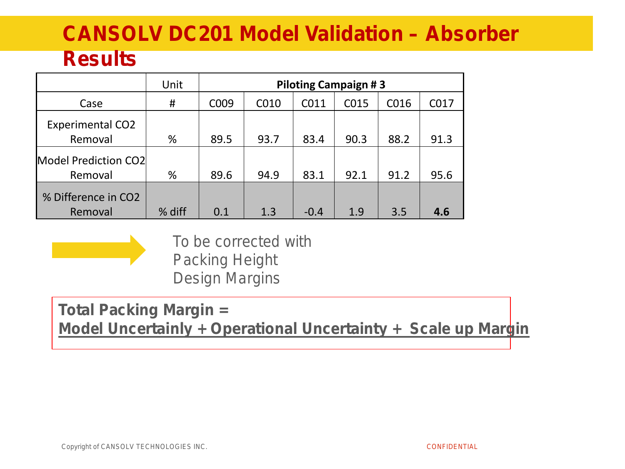### **CANSOLV DC201 Model Validation – Absorber Results**

|                                    | Unit   | <b>Piloting Campaign #3</b> |      |        |      |      |      |
|------------------------------------|--------|-----------------------------|------|--------|------|------|------|
| Case                               | #      | C009                        | C010 | C011   | C015 | C016 | C017 |
| <b>Experimental CO2</b><br>Removal | %      | 89.5                        | 93.7 | 83.4   | 90.3 | 88.2 | 91.3 |
| Model Prediction CO2<br>Removal    | %      | 89.6                        | 94.9 | 83.1   | 92.1 | 91.2 | 95.6 |
| % Difference in CO2<br>Removal     | % diff | 0.1                         | 1.3  | $-0.4$ | 1.9  | 3.5  | 4.6  |

To be corrected with Packing Height Design Margins

**Total Packing Margin = Model Uncertainly + Operational Uncertainty + Scale up Margin**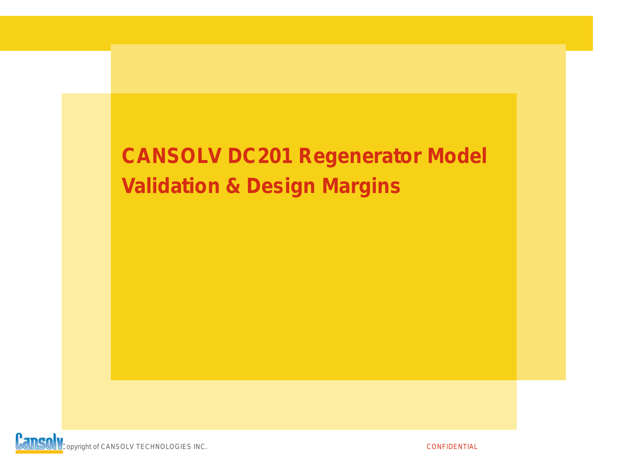### **CANSOLV DC201 Regenerator Model Validation & Design Margins**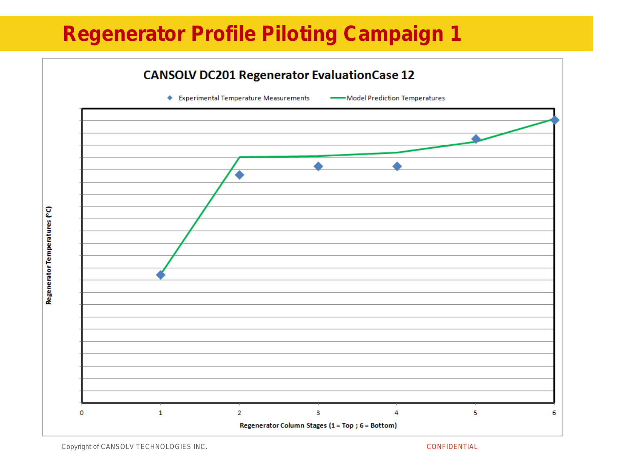### **Regenerator Profile Piloting Campaign 1**

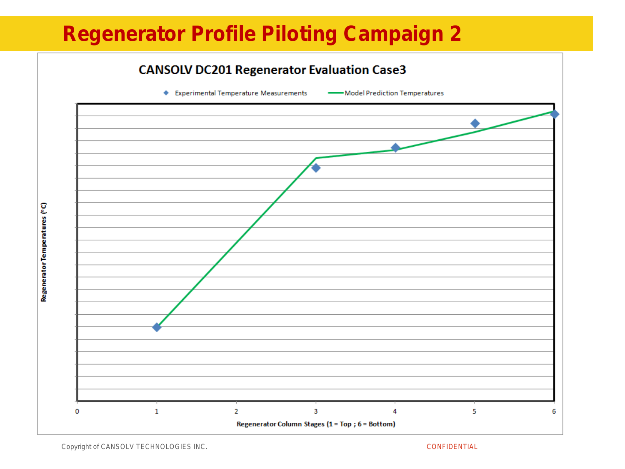### **Regenerator Profile Piloting Campaign 2**

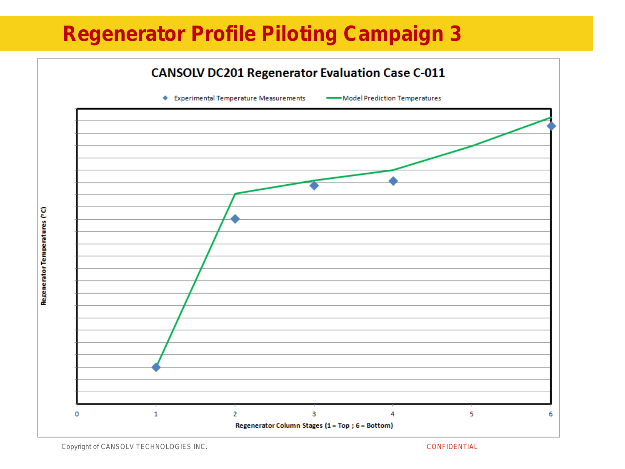### **Regenerator Profile Piloting Campaign 3**

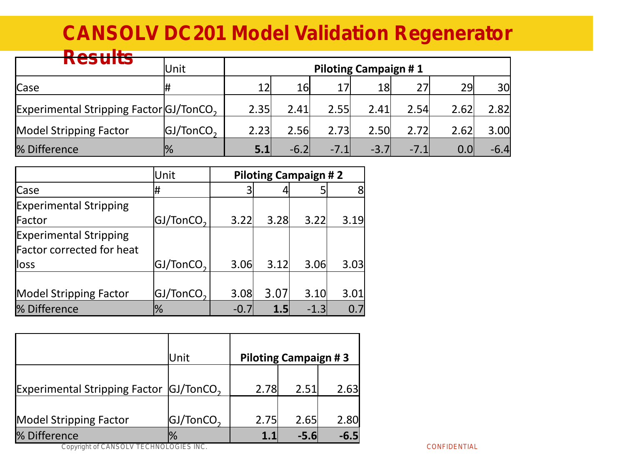### **CANSOLV DC201 Model Validation Regenerator**

| <b>Results</b>                                      |                       |                             |        |        |        |        |      |        |
|-----------------------------------------------------|-----------------------|-----------------------------|--------|--------|--------|--------|------|--------|
|                                                     | Unit                  | <b>Piloting Campaign #1</b> |        |        |        |        |      |        |
| Case                                                |                       | 12                          | 16     | 17     | 18     |        | 29   | 30     |
| Experimental Stripping Factor GJ/TonCO <sub>2</sub> |                       | 2.35                        | 2.41   | 2.55   | 2.41   | 2.54   | 2.62 | 2.82   |
| <b>Model Stripping Factor</b>                       | GJ/TonCO <sub>2</sub> | 2.23                        | 2.56   | 2.73   | 2.50   | 2.72   | 2.62 | 3.00   |
| % Difference                                        | $\frac{1}{2}$         | 5.1                         | $-6.2$ | $-7.1$ | $-3.7$ | $-7.1$ | 0.0  | $-6.4$ |

|                               | Unit                  | <b>Piloting Campaign #2</b> |      |        |      |  |
|-------------------------------|-----------------------|-----------------------------|------|--------|------|--|
| <b>Case</b>                   | l#                    | 3                           |      |        | 81   |  |
| <b>Experimental Stripping</b> |                       |                             |      |        |      |  |
| lFactor                       | GJ/TonCO <sub>2</sub> | 3.22                        | 3.28 | 3.22   | 3.19 |  |
| <b>Experimental Stripping</b> |                       |                             |      |        |      |  |
| Factor corrected for heat     |                       |                             |      |        |      |  |
| lloss                         | GJ/TonCO <sub>2</sub> | 3.06                        | 3.12 | 3.06   | 3.03 |  |
|                               |                       |                             |      |        |      |  |
| Model Stripping Factor        | GJ/TonCO <sub>2</sub> | 3.08                        | 3.07 | 3.10   | 3.01 |  |
| % Difference                  | $\frac{1}{6}$         | $-0.7$                      | 1.5  | $-1.3$ |      |  |

|                                             | lUnit                 |      | <b>Piloting Campaign #3</b> |      |
|---------------------------------------------|-----------------------|------|-----------------------------|------|
| Experimental Stripping Factor $ G /TonCO$ , |                       | 2.78 | 2.51                        | 2.63 |
| <b>Model Stripping Factor</b>               | GJ/TonCO <sub>2</sub> | 2.75 | 2.65                        | 2.80 |
| % Difference                                | ℅                     | 1.1  | $-5.6$                      |      |

Copyright of CANSOLV TECHNOLOGIES INC. The contract of contract of contract of contract of contract of contract of contract of contract of contract of contract of contract of contract of contract of contract of contract of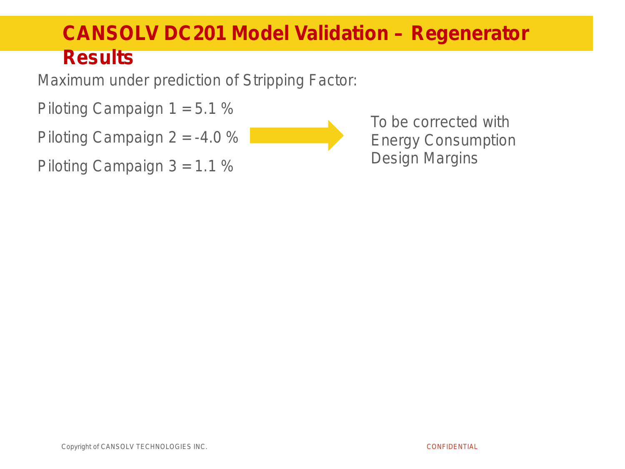### **CANSOLV DC201 Model Validation – Regenerator Results**

Maximum under prediction of Stripping Factor:

Piloting Campaign  $1 = 5.1$  %

Piloting Campaign  $2 = -4.0 \%$ 

Piloting Campaign  $3 = 1.1$  %

To be corrected with Energy Consumption Design Margins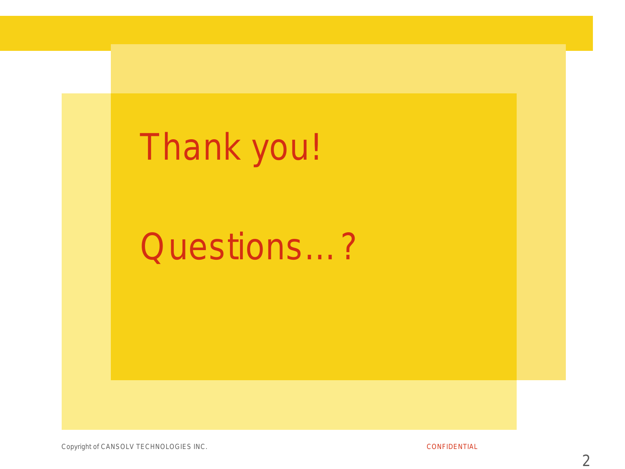# Thank you!

## Questions…?

Copyright of CANSOLV TECHNOLOGIES INC. **CONFIDENTIAL** CONFIDENTIAL